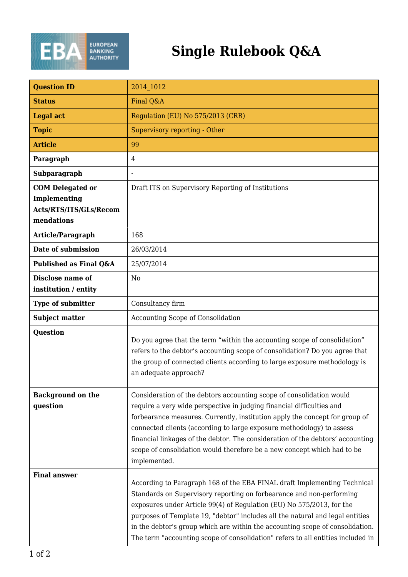

## **Single Rulebook Q&A**

| <b>Question ID</b>                                                              | 2014 1012                                                                                                                                                                                                                                                                                                                                                                                                                                                                          |
|---------------------------------------------------------------------------------|------------------------------------------------------------------------------------------------------------------------------------------------------------------------------------------------------------------------------------------------------------------------------------------------------------------------------------------------------------------------------------------------------------------------------------------------------------------------------------|
| <b>Status</b>                                                                   | Final Q&A                                                                                                                                                                                                                                                                                                                                                                                                                                                                          |
| <b>Legal act</b>                                                                | Regulation (EU) No 575/2013 (CRR)                                                                                                                                                                                                                                                                                                                                                                                                                                                  |
| <b>Topic</b>                                                                    | Supervisory reporting - Other                                                                                                                                                                                                                                                                                                                                                                                                                                                      |
| <b>Article</b>                                                                  | 99                                                                                                                                                                                                                                                                                                                                                                                                                                                                                 |
| Paragraph                                                                       | 4                                                                                                                                                                                                                                                                                                                                                                                                                                                                                  |
| Subparagraph                                                                    |                                                                                                                                                                                                                                                                                                                                                                                                                                                                                    |
| <b>COM Delegated or</b><br>Implementing<br>Acts/RTS/ITS/GLs/Recom<br>mendations | Draft ITS on Supervisory Reporting of Institutions                                                                                                                                                                                                                                                                                                                                                                                                                                 |
| Article/Paragraph                                                               | 168                                                                                                                                                                                                                                                                                                                                                                                                                                                                                |
| Date of submission                                                              | 26/03/2014                                                                                                                                                                                                                                                                                                                                                                                                                                                                         |
| Published as Final Q&A                                                          | 25/07/2014                                                                                                                                                                                                                                                                                                                                                                                                                                                                         |
| Disclose name of<br>institution / entity                                        | N <sub>0</sub>                                                                                                                                                                                                                                                                                                                                                                                                                                                                     |
| Type of submitter                                                               | Consultancy firm                                                                                                                                                                                                                                                                                                                                                                                                                                                                   |
| <b>Subject matter</b>                                                           | Accounting Scope of Consolidation                                                                                                                                                                                                                                                                                                                                                                                                                                                  |
| <b>Question</b>                                                                 | Do you agree that the term "within the accounting scope of consolidation"<br>refers to the debtor's accounting scope of consolidation? Do you agree that<br>the group of connected clients according to large exposure methodology is<br>an adequate approach?                                                                                                                                                                                                                     |
| <b>Background on the</b><br>question                                            | Consideration of the debtors accounting scope of consolidation would<br>require a very wide perspective in judging financial difficulties and<br>forbearance measures. Currently, institution apply the concept for group of<br>connected clients (according to large exposure methodology) to assess<br>financial linkages of the debtor. The consideration of the debtors' accounting<br>scope of consolidation would therefore be a new concept which had to be<br>implemented. |
| <b>Final answer</b>                                                             | According to Paragraph 168 of the EBA FINAL draft Implementing Technical<br>Standards on Supervisory reporting on forbearance and non-performing<br>exposures under Article 99(4) of Regulation (EU) No 575/2013, for the<br>purposes of Template 19, "debtor" includes all the natural and legal entities<br>in the debtor's group which are within the accounting scope of consolidation.<br>The term "accounting scope of consolidation" refers to all entities included in     |